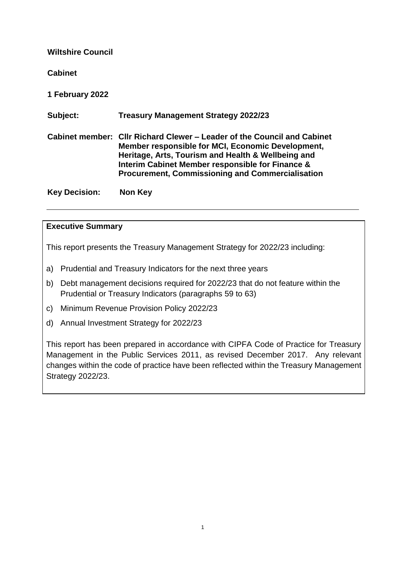**Wiltshire Council Cabinet 1 February 2022 Subject: Treasury Management Strategy 2022/23 Cabinet member: Cllr Richard Clewer – Leader of the Council and Cabinet Member responsible for MCI, Economic Development, Heritage, Arts, Tourism and Health & Wellbeing and Interim Cabinet Member responsible for Finance & Procurement, Commissioning and Commercialisation Key Decision: Non Key**

### **Executive Summary**

This report presents the Treasury Management Strategy for 2022/23 including:

- a) Prudential and Treasury Indicators for the next three years
- b) Debt management decisions required for 2022/23 that do not feature within the Prudential or Treasury Indicators (paragraphs 59 to 63)
- c) Minimum Revenue Provision Policy 2022/23
- d) Annual Investment Strategy for 2022/23

This report has been prepared in accordance with CIPFA Code of Practice for Treasury Management in the Public Services 2011, as revised December 2017. Any relevant changes within the code of practice have been reflected within the Treasury Management Strategy 2022/23.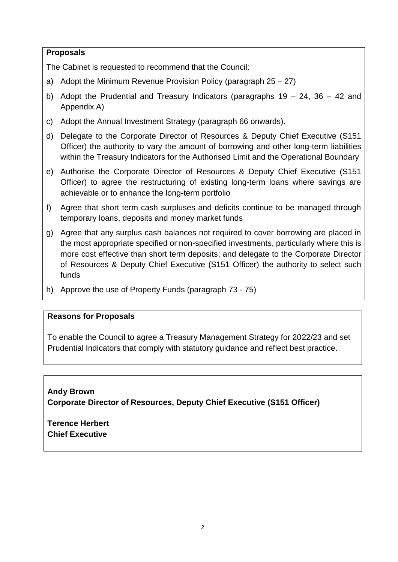# **Proposals**

The Cabinet is requested to recommend that the Council:

- a) Adopt the Minimum Revenue Provision Policy (paragraph 25 27)
- b) Adopt the Prudential and Treasury Indicators (paragraphs  $19 24$ ,  $36 42$  and Appendix A)
- c) Adopt the Annual Investment Strategy (paragraph 66 onwards).
- d) Delegate to the Corporate Director of Resources & Deputy Chief Executive (S151 Officer) the authority to vary the amount of borrowing and other long-term liabilities within the Treasury Indicators for the Authorised Limit and the Operational Boundary
- e) Authorise the Corporate Director of Resources & Deputy Chief Executive (S151 Officer) to agree the restructuring of existing long-term loans where savings are achievable or to enhance the long-term portfolio
- f) Agree that short term cash surpluses and deficits continue to be managed through temporary loans, deposits and money market funds
- g) Agree that any surplus cash balances not required to cover borrowing are placed in the most appropriate specified or non-specified investments, particularly where this is more cost effective than short term deposits; and delegate to the Corporate Director of Resources & Deputy Chief Executive (S151 Officer) the authority to select such funds
- h) Approve the use of Property Funds (paragraph 73 75)

# **Reasons for Proposals**

To enable the Council to agree a Treasury Management Strategy for 2022/23 and set Prudential Indicators that comply with statutory guidance and reflect best practice.

**Andy Brown Corporate Director of Resources, Deputy Chief Executive (S151 Officer)**

**Terence Herbert Chief Executive**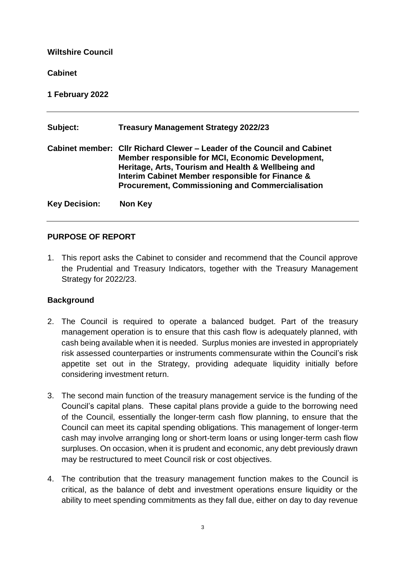### **Wiltshire Council**

### **Cabinet**

**1 February 2022**

| Subject:             | <b>Treasury Management Strategy 2022/23</b>                                                                                                                                                                                                                                                       |
|----------------------|---------------------------------------------------------------------------------------------------------------------------------------------------------------------------------------------------------------------------------------------------------------------------------------------------|
|                      | Cabinet member: CIIr Richard Clewer – Leader of the Council and Cabinet<br>Member responsible for MCI, Economic Development,<br>Heritage, Arts, Tourism and Health & Wellbeing and<br>Interim Cabinet Member responsible for Finance &<br><b>Procurement, Commissioning and Commercialisation</b> |
| <b>Key Decision:</b> | <b>Non Key</b>                                                                                                                                                                                                                                                                                    |

# **PURPOSE OF REPORT**

1. This report asks the Cabinet to consider and recommend that the Council approve the Prudential and Treasury Indicators, together with the Treasury Management Strategy for 2022/23.

# **Background**

- 2. The Council is required to operate a balanced budget. Part of the treasury management operation is to ensure that this cash flow is adequately planned, with cash being available when it is needed. Surplus monies are invested in appropriately risk assessed counterparties or instruments commensurate within the Council's risk appetite set out in the Strategy, providing adequate liquidity initially before considering investment return.
- 3. The second main function of the treasury management service is the funding of the Council's capital plans. These capital plans provide a guide to the borrowing need of the Council, essentially the longer-term cash flow planning, to ensure that the Council can meet its capital spending obligations. This management of longer-term cash may involve arranging long or short-term loans or using longer-term cash flow surpluses. On occasion, when it is prudent and economic, any debt previously drawn may be restructured to meet Council risk or cost objectives.
- 4. The contribution that the treasury management function makes to the Council is critical, as the balance of debt and investment operations ensure liquidity or the ability to meet spending commitments as they fall due, either on day to day revenue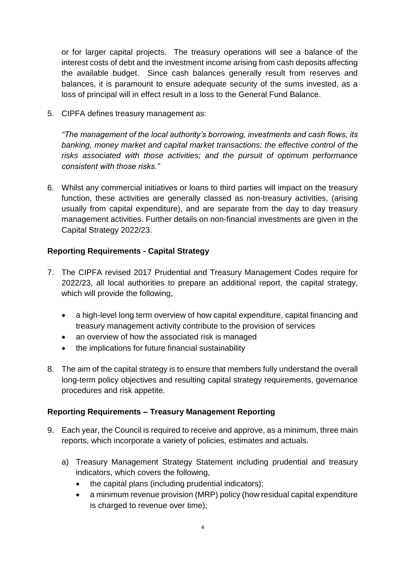or for larger capital projects. The treasury operations will see a balance of the interest costs of debt and the investment income arising from cash deposits affecting the available budget. Since cash balances generally result from reserves and balances, it is paramount to ensure adequate security of the sums invested, as a loss of principal will in effect result in a loss to the General Fund Balance.

5. CIPFA defines treasury management as:

*"The management of the local authority's borrowing, investments and cash flows, its banking, money market and capital market transactions; the effective control of the risks associated with those activities; and the pursuit of optimum performance consistent with those risks."*

6. Whilst any commercial initiatives or loans to third parties will impact on the treasury function, these activities are generally classed as non-treasury activities, (arising usually from capital expenditure), and are separate from the day to day treasury management activities. Further details on non-financial investments are given in the Capital Strategy 2022/23.

# **Reporting Requirements - Capital Strategy**

- 7. The CIPFA revised 2017 Prudential and Treasury Management Codes require for 2022/23, all local authorities to prepare an additional report, the capital strategy, which will provide the following,
	- a high-level long term overview of how capital expenditure, capital financing and treasury management activity contribute to the provision of services
	- an overview of how the associated risk is managed
	- the implications for future financial sustainability
- 8. The aim of the capital strategy is to ensure that members fully understand the overall long-term policy objectives and resulting capital strategy requirements, governance procedures and risk appetite.

# **Reporting Requirements – Treasury Management Reporting**

- 9. Each year, the Council is required to receive and approve, as a minimum, three main reports, which incorporate a variety of policies, estimates and actuals.
	- a) Treasury Management Strategy Statement including prudential and treasury indicators, which covers the following,
		- $\bullet$  the capital plans (including prudential indicators);
		- a minimum revenue provision (MRP) policy (how residual capital expenditure is charged to revenue over time);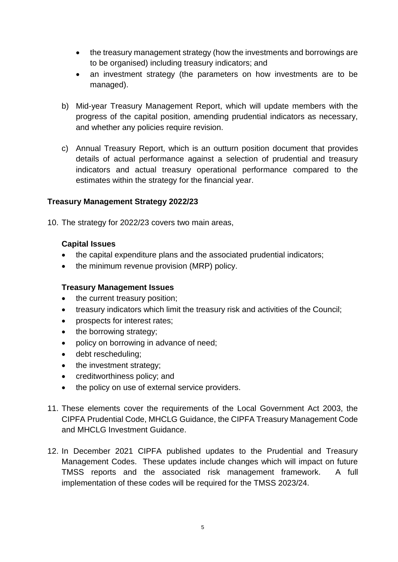- the treasury management strategy (how the investments and borrowings are to be organised) including treasury indicators; and
- an investment strategy (the parameters on how investments are to be managed).
- b) Mid-year Treasury Management Report, which will update members with the progress of the capital position, amending prudential indicators as necessary, and whether any policies require revision.
- c) Annual Treasury Report, which is an outturn position document that provides details of actual performance against a selection of prudential and treasury indicators and actual treasury operational performance compared to the estimates within the strategy for the financial year.

# **Treasury Management Strategy 2022/23**

10. The strategy for 2022/23 covers two main areas,

### **Capital Issues**

- the capital expenditure plans and the associated prudential indicators;
- the minimum revenue provision (MRP) policy.

### **Treasury Management Issues**

- the current treasury position;
- treasury indicators which limit the treasury risk and activities of the Council;
- prospects for interest rates;
- the borrowing strategy;
- policy on borrowing in advance of need;
- debt rescheduling;
- the investment strategy:
- creditworthiness policy; and
- the policy on use of external service providers.
- 11. These elements cover the requirements of the Local Government Act 2003, the CIPFA Prudential Code, MHCLG Guidance, the CIPFA Treasury Management Code and MHCLG Investment Guidance.
- 12. In December 2021 CIPFA published updates to the Prudential and Treasury Management Codes. These updates include changes which will impact on future TMSS reports and the associated risk management framework. A full implementation of these codes will be required for the TMSS 2023/24.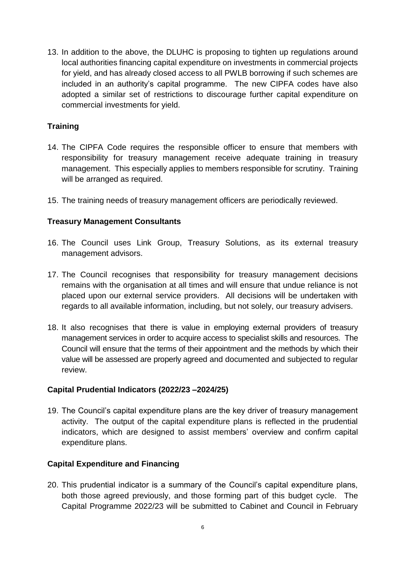13. In addition to the above, the DLUHC is proposing to tighten up regulations around local authorities financing capital expenditure on investments in commercial projects for yield, and has already closed access to all PWLB borrowing if such schemes are included in an authority's capital programme. The new CIPFA codes have also adopted a similar set of restrictions to discourage further capital expenditure on commercial investments for yield.

# **Training**

- 14. The CIPFA Code requires the responsible officer to ensure that members with responsibility for treasury management receive adequate training in treasury management. This especially applies to members responsible for scrutiny. Training will be arranged as required.
- 15. The training needs of treasury management officers are periodically reviewed.

### **Treasury Management Consultants**

- 16. The Council uses Link Group, Treasury Solutions, as its external treasury management advisors.
- 17. The Council recognises that responsibility for treasury management decisions remains with the organisation at all times and will ensure that undue reliance is not placed upon our external service providers. All decisions will be undertaken with regards to all available information, including, but not solely, our treasury advisers.
- 18. It also recognises that there is value in employing external providers of treasury management services in order to acquire access to specialist skills and resources. The Council will ensure that the terms of their appointment and the methods by which their value will be assessed are properly agreed and documented and subjected to regular review.

### **Capital Prudential Indicators (2022/23 –2024/25)**

19. The Council's capital expenditure plans are the key driver of treasury management activity. The output of the capital expenditure plans is reflected in the prudential indicators, which are designed to assist members' overview and confirm capital expenditure plans.

# **Capital Expenditure and Financing**

20. This prudential indicator is a summary of the Council's capital expenditure plans, both those agreed previously, and those forming part of this budget cycle. The Capital Programme 2022/23 will be submitted to Cabinet and Council in February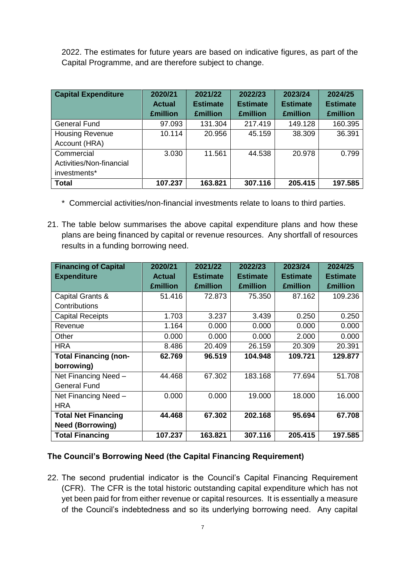2022. The estimates for future years are based on indicative figures, as part of the Capital Programme, and are therefore subject to change.

| <b>Capital Expenditure</b>                             | 2020/21<br><b>Actual</b><br><b>£million</b> | 2021/22<br><b>Estimate</b><br><b>£million</b> | 2022/23<br><b>Estimate</b><br><b>£million</b> | 2023/24<br><b>Estimate</b><br><b>£million</b> | 2024/25<br><b>Estimate</b><br><b>£million</b> |
|--------------------------------------------------------|---------------------------------------------|-----------------------------------------------|-----------------------------------------------|-----------------------------------------------|-----------------------------------------------|
| <b>General Fund</b>                                    | 97.093                                      | 131.304                                       | 217.419                                       | 149.128                                       | 160.395                                       |
| <b>Housing Revenue</b><br>Account (HRA)                | 10.114                                      | 20.956                                        | 45.159                                        | 38.309                                        | 36.391                                        |
| Commercial<br>Activities/Non-financial<br>investments* | 3.030                                       | 11.561                                        | 44.538                                        | 20.978                                        | 0.799                                         |
| <b>Total</b>                                           | 107.237                                     | 163.821                                       | 307.116                                       | 205.415                                       | 197.585                                       |

- \* Commercial activities/non-financial investments relate to loans to third parties.
- 21. The table below summarises the above capital expenditure plans and how these plans are being financed by capital or revenue resources. Any shortfall of resources results in a funding borrowing need.

| <b>Financing of Capital</b>  | 2020/21         | 2021/22         | 2022/23         | 2023/24         | 2024/25         |
|------------------------------|-----------------|-----------------|-----------------|-----------------|-----------------|
| <b>Expenditure</b>           | <b>Actual</b>   | <b>Estimate</b> | <b>Estimate</b> | <b>Estimate</b> | <b>Estimate</b> |
|                              | <b>£million</b> | <b>£million</b> | <b>£million</b> | <b>£million</b> | <b>£million</b> |
| Capital Grants &             | 51.416          | 72.873          | 75.350          | 87.162          | 109.236         |
| Contributions                |                 |                 |                 |                 |                 |
| <b>Capital Receipts</b>      | 1.703           | 3.237           | 3.439           | 0.250           | 0.250           |
| Revenue                      | 1.164           | 0.000           | 0.000           | 0.000           | 0.000           |
| Other                        | 0.000           | 0.000           | 0.000           | 2.000           | 0.000           |
| <b>HRA</b>                   | 8.486           | 20.409          | 26.159          | 20.309          | 20.391          |
| <b>Total Financing (non-</b> | 62.769          | 96.519          | 104.948         | 109.721         | 129.877         |
| borrowing)                   |                 |                 |                 |                 |                 |
| Net Financing Need -         | 44.468          | 67.302          | 183.168         | 77.694          | 51.708          |
| <b>General Fund</b>          |                 |                 |                 |                 |                 |
| Net Financing Need -         | 0.000           | 0.000           | 19.000          | 18.000          | 16.000          |
| <b>HRA</b>                   |                 |                 |                 |                 |                 |
| <b>Total Net Financing</b>   | 44.468          | 67.302          | 202.168         | 95.694          | 67.708          |
| <b>Need (Borrowing)</b>      |                 |                 |                 |                 |                 |
| <b>Total Financing</b>       | 107.237         | 163.821         | 307.116         | 205.415         | 197.585         |

# **The Council's Borrowing Need (the Capital Financing Requirement)**

22. The second prudential indicator is the Council's Capital Financing Requirement (CFR). The CFR is the total historic outstanding capital expenditure which has not yet been paid for from either revenue or capital resources. It is essentially a measure of the Council's indebtedness and so its underlying borrowing need. Any capital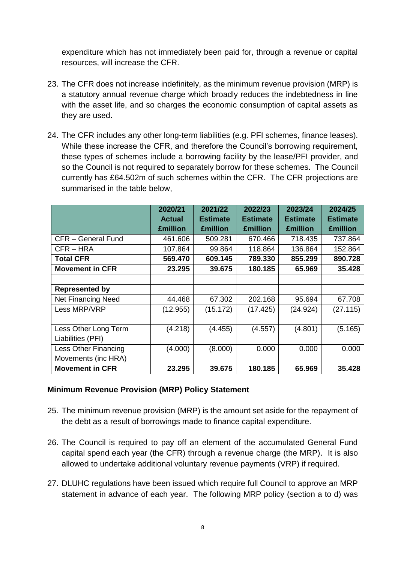expenditure which has not immediately been paid for, through a revenue or capital resources, will increase the CFR.

- 23. The CFR does not increase indefinitely, as the minimum revenue provision (MRP) is a statutory annual revenue charge which broadly reduces the indebtedness in line with the asset life, and so charges the economic consumption of capital assets as they are used.
- 24. The CFR includes any other long-term liabilities (e.g. PFI schemes, finance leases). While these increase the CFR, and therefore the Council's borrowing requirement, these types of schemes include a borrowing facility by the lease/PFI provider, and so the Council is not required to separately borrow for these schemes. The Council currently has £64.502m of such schemes within the CFR. The CFR projections are summarised in the table below,

|                           | 2020/21         | 2021/22         | 2022/23         | 2023/24         | 2024/25         |
|---------------------------|-----------------|-----------------|-----------------|-----------------|-----------------|
|                           | <b>Actual</b>   | <b>Estimate</b> | <b>Estimate</b> | <b>Estimate</b> | <b>Estimate</b> |
|                           | <b>£million</b> | <b>£million</b> | <b>£million</b> | <b>£million</b> | <b>£million</b> |
| CFR - General Fund        | 461.606         | 509.281         | 670.466         | 718.435         | 737.864         |
| CFR-HRA                   | 107.864         | 99.864          | 118.864         | 136.864         | 152.864         |
| <b>Total CFR</b>          | 569.470         | 609.145         | 789.330         | 855.299         | 890.728         |
| <b>Movement in CFR</b>    | 23.295          | 39.675          | 180.185         | 65.969          | 35.428          |
|                           |                 |                 |                 |                 |                 |
| <b>Represented by</b>     |                 |                 |                 |                 |                 |
| <b>Net Financing Need</b> | 44.468          | 67.302          | 202.168         | 95.694          | 67.708          |
| Less MRP/VRP              | (12.955)        | (15.172)        | (17.425)        | (24.924)        | (27.115)        |
|                           |                 |                 |                 |                 |                 |
| Less Other Long Term      | (4.218)         | (4.455)         | (4.557)         | (4.801)         | (5.165)         |
| Liabilities (PFI)         |                 |                 |                 |                 |                 |
| Less Other Financing      | (4.000)         | (8.000)         | 0.000           | 0.000           | 0.000           |
| Movements (inc HRA)       |                 |                 |                 |                 |                 |
| <b>Movement in CFR</b>    | 23.295          | 39.675          | 180.185         | 65.969          | 35.428          |

# **Minimum Revenue Provision (MRP) Policy Statement**

- 25. The minimum revenue provision (MRP) is the amount set aside for the repayment of the debt as a result of borrowings made to finance capital expenditure.
- 26. The Council is required to pay off an element of the accumulated General Fund capital spend each year (the CFR) through a revenue charge (the MRP). It is also allowed to undertake additional voluntary revenue payments (VRP) if required.
- 27. DLUHC regulations have been issued which require full Council to approve an MRP statement in advance of each year. The following MRP policy (section a to d) was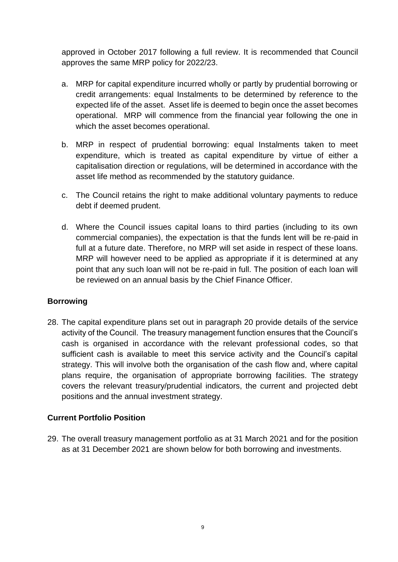approved in October 2017 following a full review. It is recommended that Council approves the same MRP policy for 2022/23.

- a. MRP for capital expenditure incurred wholly or partly by prudential borrowing or credit arrangements: equal Instalments to be determined by reference to the expected life of the asset. Asset life is deemed to begin once the asset becomes operational. MRP will commence from the financial year following the one in which the asset becomes operational.
- b. MRP in respect of prudential borrowing: equal Instalments taken to meet expenditure, which is treated as capital expenditure by virtue of either a capitalisation direction or regulations, will be determined in accordance with the asset life method as recommended by the statutory guidance.
- c. The Council retains the right to make additional voluntary payments to reduce debt if deemed prudent.
- d. Where the Council issues capital loans to third parties (including to its own commercial companies), the expectation is that the funds lent will be re-paid in full at a future date. Therefore, no MRP will set aside in respect of these loans. MRP will however need to be applied as appropriate if it is determined at any point that any such loan will not be re-paid in full. The position of each loan will be reviewed on an annual basis by the Chief Finance Officer.

# **Borrowing**

28. The capital expenditure plans set out in paragraph 20 provide details of the service activity of the Council. The treasury management function ensures that the Council's cash is organised in accordance with the relevant professional codes, so that sufficient cash is available to meet this service activity and the Council's capital strategy. This will involve both the organisation of the cash flow and, where capital plans require, the organisation of appropriate borrowing facilities. The strategy covers the relevant treasury/prudential indicators, the current and projected debt positions and the annual investment strategy.

# **Current Portfolio Position**

29. The overall treasury management portfolio as at 31 March 2021 and for the position as at 31 December 2021 are shown below for both borrowing and investments.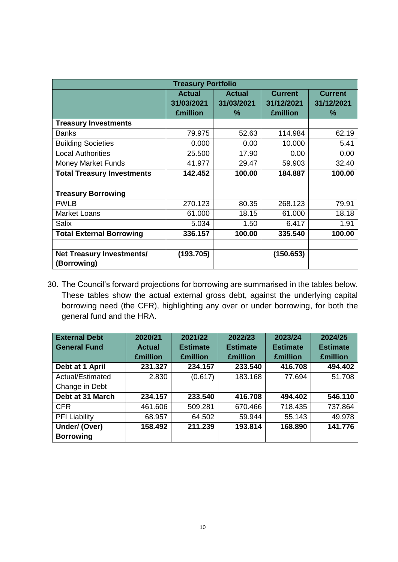| <b>Treasury Portfolio</b>         |                                                |                                  |                                                 |                                   |
|-----------------------------------|------------------------------------------------|----------------------------------|-------------------------------------------------|-----------------------------------|
|                                   | <b>Actual</b><br>31/03/2021<br><b>£million</b> | <b>Actual</b><br>31/03/2021<br>℅ | <b>Current</b><br>31/12/2021<br><b>£million</b> | <b>Current</b><br>31/12/2021<br>% |
| <b>Treasury Investments</b>       |                                                |                                  |                                                 |                                   |
| <b>Banks</b>                      | 79.975                                         | 52.63                            | 114.984                                         | 62.19                             |
| <b>Building Societies</b>         | 0.000                                          | 0.00                             | 10.000                                          | 5.41                              |
| <b>Local Authorities</b>          | 25.500                                         | 17.90                            | 0.00                                            | 0.00                              |
| <b>Money Market Funds</b>         | 41.977                                         | 29.47                            | 59.903                                          | 32.40                             |
| <b>Total Treasury Investments</b> | 142.452                                        | 100.00                           | 184.887                                         | 100.00                            |
|                                   |                                                |                                  |                                                 |                                   |
| <b>Treasury Borrowing</b>         |                                                |                                  |                                                 |                                   |
| <b>PWLB</b>                       | 270.123                                        | 80.35                            | 268.123                                         | 79.91                             |
| <b>Market Loans</b>               | 61.000                                         | 18.15                            | 61.000                                          | 18.18                             |
| <b>Salix</b>                      | 5.034                                          | 1.50                             | 6.417                                           | 1.91                              |
| <b>Total External Borrowing</b>   | 336.157                                        | 100.00                           | 335.540                                         | 100.00                            |
|                                   |                                                |                                  |                                                 |                                   |
| <b>Net Treasury Investments/</b>  | (193.705)                                      |                                  | (150.653)                                       |                                   |
| (Borrowing)                       |                                                |                                  |                                                 |                                   |

30. The Council's forward projections for borrowing are summarised in the tables below. These tables show the actual external gross debt, against the underlying capital borrowing need (the CFR), highlighting any over or under borrowing, for both the general fund and the HRA.

| <b>External Debt</b> | 2020/21         | 2021/22         | 2022/23         | 2023/24         | 2024/25         |
|----------------------|-----------------|-----------------|-----------------|-----------------|-----------------|
| <b>General Fund</b>  | <b>Actual</b>   | <b>Estimate</b> | <b>Estimate</b> | <b>Estimate</b> | <b>Estimate</b> |
|                      | <b>£million</b> | <b>£million</b> | <b>£million</b> | <b>£million</b> | <b>£million</b> |
| Debt at 1 April      | 231.327         | 234.157         | 233.540         | 416.708         | 494.402         |
| Actual/Estimated     | 2.830           | (0.617)         | 183.168         | 77.694          | 51.708          |
| Change in Debt       |                 |                 |                 |                 |                 |
| Debt at 31 March     | 234.157         | 233.540         | 416.708         | 494.402         | 546.110         |
| <b>CFR</b>           | 461.606         | 509.281         | 670.466         | 718.435         | 737.864         |
| <b>PFI Liability</b> | 68.957          | 64.502          | 59.944          | 55.143          | 49.978          |
| Under/ (Over)        | 158.492         | 211.239         | 193.814         | 168.890         | 141.776         |
| <b>Borrowing</b>     |                 |                 |                 |                 |                 |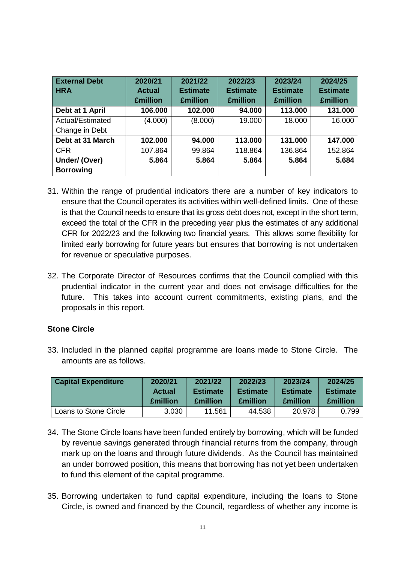| <b>External Debt</b> | 2020/21         | 2021/22         | 2022/23         | 2023/24         | 2024/25         |
|----------------------|-----------------|-----------------|-----------------|-----------------|-----------------|
| <b>HRA</b>           | <b>Actual</b>   | <b>Estimate</b> | <b>Estimate</b> | <b>Estimate</b> | <b>Estimate</b> |
|                      | <b>£million</b> | <b>£million</b> | <b>£million</b> | <b>£million</b> | <b>£million</b> |
| Debt at 1 April      | 106.000         | 102.000         | 94.000          | 113.000         | 131.000         |
| Actual/Estimated     | (4.000)         | (8.000)         | 19.000          | 18.000          | 16.000          |
| Change in Debt       |                 |                 |                 |                 |                 |
| Debt at 31 March     | 102.000         | 94.000          | 113.000         | 131.000         | 147.000         |
| <b>CFR</b>           | 107.864         | 99.864          | 118.864         | 136.864         | 152.864         |
| Under/ (Over)        | 5.864           | 5.864           | 5.864           | 5.864           | 5.684           |
| <b>Borrowing</b>     |                 |                 |                 |                 |                 |

- 31. Within the range of prudential indicators there are a number of key indicators to ensure that the Council operates its activities within well-defined limits. One of these is that the Council needs to ensure that its gross debt does not, except in the short term, exceed the total of the CFR in the preceding year plus the estimates of any additional CFR for 2022/23 and the following two financial years. This allows some flexibility for limited early borrowing for future years but ensures that borrowing is not undertaken for revenue or speculative purposes.
- 32. The Corporate Director of Resources confirms that the Council complied with this prudential indicator in the current year and does not envisage difficulties for the future. This takes into account current commitments, existing plans, and the proposals in this report.

# **Stone Circle**

33. Included in the planned capital programme are loans made to Stone Circle. The amounts are as follows.

| <b>Capital Expenditure</b> | 2020/21         | 2021/22         | 2022/23         | 2023/24         | 2024/25         |
|----------------------------|-----------------|-----------------|-----------------|-----------------|-----------------|
|                            | <b>Actual</b>   | <b>Estimate</b> | <b>Estimate</b> | <b>Estimate</b> | <b>Estimate</b> |
|                            | <b>£million</b> | <b>£million</b> | <b>£million</b> | <b>£million</b> | <b>Emillion</b> |
| Loans to Stone Circle      | 3.030           | 11.561          | 44.538          | 20.978          | 0.799           |

- 34. The Stone Circle loans have been funded entirely by borrowing, which will be funded by revenue savings generated through financial returns from the company, through mark up on the loans and through future dividends. As the Council has maintained an under borrowed position, this means that borrowing has not yet been undertaken to fund this element of the capital programme.
- 35. Borrowing undertaken to fund capital expenditure, including the loans to Stone Circle, is owned and financed by the Council, regardless of whether any income is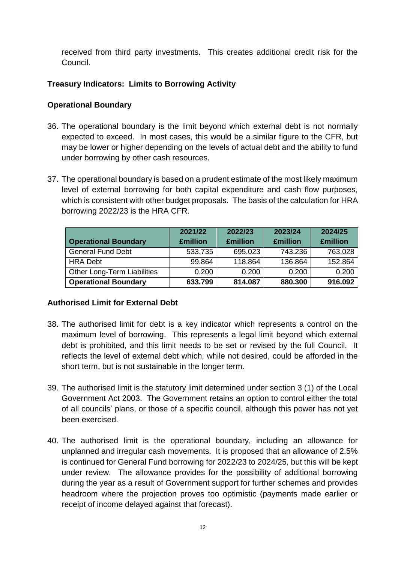received from third party investments. This creates additional credit risk for the Council.

# **Treasury Indicators: Limits to Borrowing Activity**

# **Operational Boundary**

- 36. The operational boundary is the limit beyond which external debt is not normally expected to exceed. In most cases, this would be a similar figure to the CFR, but may be lower or higher depending on the levels of actual debt and the ability to fund under borrowing by other cash resources.
- 37. The operational boundary is based on a prudent estimate of the most likely maximum level of external borrowing for both capital expenditure and cash flow purposes, which is consistent with other budget proposals. The basis of the calculation for HRA borrowing 2022/23 is the HRA CFR.

| <b>Operational Boundary</b>        | 2021/22<br><b>£million</b> | 2022/23<br><b>£million</b> | 2023/24<br><b>£million</b> | 2024/25<br><b>£million</b> |
|------------------------------------|----------------------------|----------------------------|----------------------------|----------------------------|
| <b>General Fund Debt</b>           | 533.735                    | 695.023                    | 743.236                    | 763.028                    |
| <b>HRA Debt</b>                    | 99.864                     | 118.864                    | 136.864                    | 152.864                    |
| <b>Other Long-Term Liabilities</b> | 0.200                      | 0.200                      | 0.200                      | 0.200                      |
| <b>Operational Boundary</b>        | 633.799                    | 814.087                    | 880.300                    | 916.092                    |

# **Authorised Limit for External Debt**

- 38. The authorised limit for debt is a key indicator which represents a control on the maximum level of borrowing. This represents a legal limit beyond which external debt is prohibited, and this limit needs to be set or revised by the full Council. It reflects the level of external debt which, while not desired, could be afforded in the short term, but is not sustainable in the longer term.
- 39. The authorised limit is the statutory limit determined under section 3 (1) of the Local Government Act 2003. The Government retains an option to control either the total of all councils' plans, or those of a specific council, although this power has not yet been exercised.
- 40. The authorised limit is the operational boundary, including an allowance for unplanned and irregular cash movements. It is proposed that an allowance of 2.5% is continued for General Fund borrowing for 2022/23 to 2024/25, but this will be kept under review. The allowance provides for the possibility of additional borrowing during the year as a result of Government support for further schemes and provides headroom where the projection proves too optimistic (payments made earlier or receipt of income delayed against that forecast).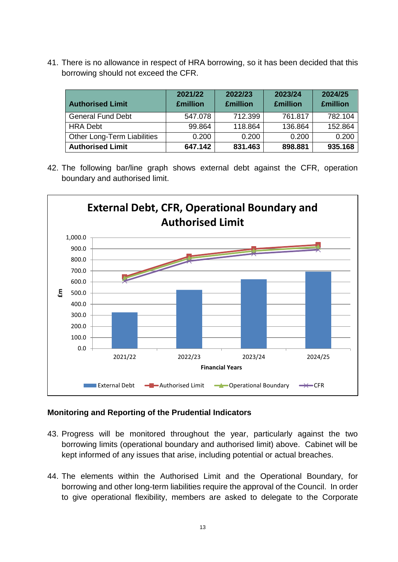41. There is no allowance in respect of HRA borrowing, so it has been decided that this borrowing should not exceed the CFR.

| <b>Authorised Limit</b>     | 2021/22<br><b>£million</b> | 2022/23<br><b>£million</b> | 2023/24<br><b>£million</b> | 2024/25<br><b>£million</b> |
|-----------------------------|----------------------------|----------------------------|----------------------------|----------------------------|
| <b>General Fund Debt</b>    | 547.078                    | 712.399                    | 761.817                    | 782.104                    |
| <b>HRA Debt</b>             | 99.864                     | 118.864                    | 136.864                    | 152.864                    |
| Other Long-Term Liabilities | 0.200                      | 0.200                      | 0.200                      | 0.200                      |
| <b>Authorised Limit</b>     | 647.142                    | 831.463                    | 898.881                    | 935.168                    |

42. The following bar/line graph shows external debt against the CFR, operation boundary and authorised limit.



# **Monitoring and Reporting of the Prudential Indicators**

- 43. Progress will be monitored throughout the year, particularly against the two borrowing limits (operational boundary and authorised limit) above. Cabinet will be kept informed of any issues that arise, including potential or actual breaches.
- 44. The elements within the Authorised Limit and the Operational Boundary, for borrowing and other long-term liabilities require the approval of the Council. In order to give operational flexibility, members are asked to delegate to the Corporate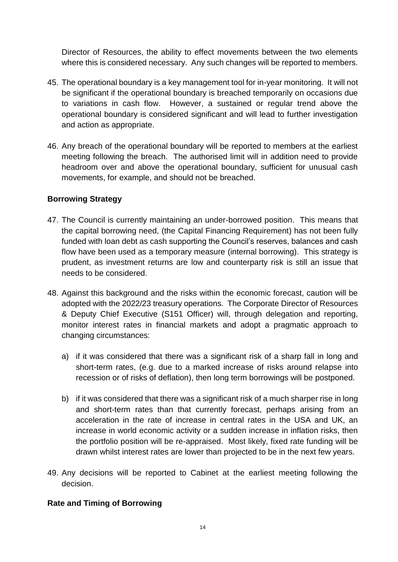Director of Resources, the ability to effect movements between the two elements where this is considered necessary. Any such changes will be reported to members.

- 45. The operational boundary is a key management tool for in-year monitoring. It will not be significant if the operational boundary is breached temporarily on occasions due to variations in cash flow. However, a sustained or regular trend above the operational boundary is considered significant and will lead to further investigation and action as appropriate.
- 46. Any breach of the operational boundary will be reported to members at the earliest meeting following the breach. The authorised limit will in addition need to provide headroom over and above the operational boundary, sufficient for unusual cash movements, for example, and should not be breached.

### **Borrowing Strategy**

- 47. The Council is currently maintaining an under-borrowed position. This means that the capital borrowing need, (the Capital Financing Requirement) has not been fully funded with loan debt as cash supporting the Council's reserves, balances and cash flow have been used as a temporary measure (internal borrowing). This strategy is prudent, as investment returns are low and counterparty risk is still an issue that needs to be considered.
- 48. Against this background and the risks within the economic forecast, caution will be adopted with the 2022/23 treasury operations. The Corporate Director of Resources & Deputy Chief Executive (S151 Officer) will, through delegation and reporting, monitor interest rates in financial markets and adopt a pragmatic approach to changing circumstances:
	- a) if it was considered that there was a significant risk of a sharp fall in long and short-term rates, (e.g. due to a marked increase of risks around relapse into recession or of risks of deflation), then long term borrowings will be postponed.
	- b) if it was considered that there was a significant risk of a much sharper rise in long and short-term rates than that currently forecast, perhaps arising from an acceleration in the rate of increase in central rates in the USA and UK, an increase in world economic activity or a sudden increase in inflation risks, then the portfolio position will be re-appraised. Most likely, fixed rate funding will be drawn whilst interest rates are lower than projected to be in the next few years.
- 49. Any decisions will be reported to Cabinet at the earliest meeting following the decision.

# **Rate and Timing of Borrowing**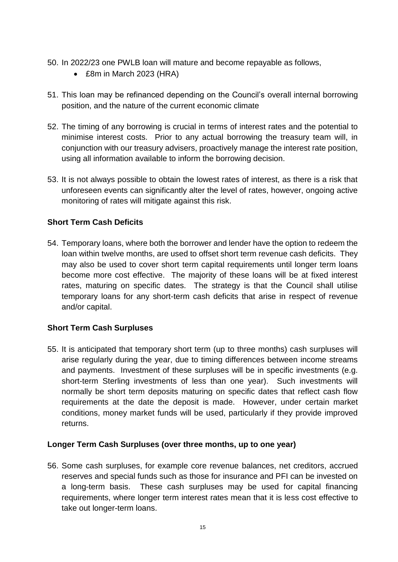- 50. In 2022/23 one PWLB loan will mature and become repayable as follows,
	- £8m in March 2023 (HRA)
- 51. This loan may be refinanced depending on the Council's overall internal borrowing position, and the nature of the current economic climate
- 52. The timing of any borrowing is crucial in terms of interest rates and the potential to minimise interest costs. Prior to any actual borrowing the treasury team will, in conjunction with our treasury advisers, proactively manage the interest rate position, using all information available to inform the borrowing decision.
- 53. It is not always possible to obtain the lowest rates of interest, as there is a risk that unforeseen events can significantly alter the level of rates, however, ongoing active monitoring of rates will mitigate against this risk.

# **Short Term Cash Deficits**

54. Temporary loans, where both the borrower and lender have the option to redeem the loan within twelve months, are used to offset short term revenue cash deficits. They may also be used to cover short term capital requirements until longer term loans become more cost effective. The majority of these loans will be at fixed interest rates, maturing on specific dates. The strategy is that the Council shall utilise temporary loans for any short-term cash deficits that arise in respect of revenue and/or capital.

### **Short Term Cash Surpluses**

55. It is anticipated that temporary short term (up to three months) cash surpluses will arise regularly during the year, due to timing differences between income streams and payments. Investment of these surpluses will be in specific investments (e.g. short-term Sterling investments of less than one year). Such investments will normally be short term deposits maturing on specific dates that reflect cash flow requirements at the date the deposit is made. However, under certain market conditions, money market funds will be used, particularly if they provide improved returns.

### **Longer Term Cash Surpluses (over three months, up to one year)**

56. Some cash surpluses, for example core revenue balances, net creditors, accrued reserves and special funds such as those for insurance and PFI can be invested on a long-term basis. These cash surpluses may be used for capital financing requirements, where longer term interest rates mean that it is less cost effective to take out longer-term loans.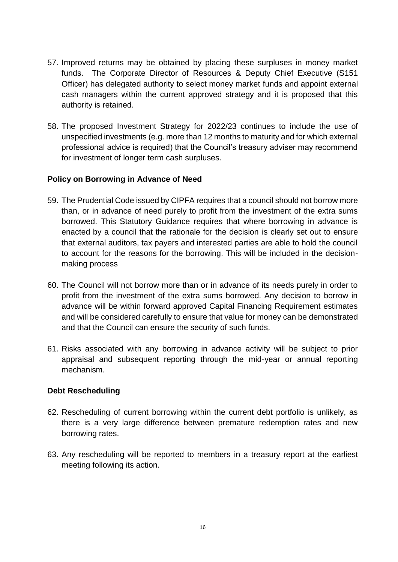- 57. Improved returns may be obtained by placing these surpluses in money market funds. The Corporate Director of Resources & Deputy Chief Executive (S151 Officer) has delegated authority to select money market funds and appoint external cash managers within the current approved strategy and it is proposed that this authority is retained.
- 58. The proposed Investment Strategy for 2022/23 continues to include the use of unspecified investments (e.g. more than 12 months to maturity and for which external professional advice is required) that the Council's treasury adviser may recommend for investment of longer term cash surpluses.

### **Policy on Borrowing in Advance of Need**

- 59. The Prudential Code issued by CIPFA requires that a council should not borrow more than, or in advance of need purely to profit from the investment of the extra sums borrowed. This Statutory Guidance requires that where borrowing in advance is enacted by a council that the rationale for the decision is clearly set out to ensure that external auditors, tax payers and interested parties are able to hold the council to account for the reasons for the borrowing. This will be included in the decisionmaking process
- 60. The Council will not borrow more than or in advance of its needs purely in order to profit from the investment of the extra sums borrowed. Any decision to borrow in advance will be within forward approved Capital Financing Requirement estimates and will be considered carefully to ensure that value for money can be demonstrated and that the Council can ensure the security of such funds.
- 61. Risks associated with any borrowing in advance activity will be subject to prior appraisal and subsequent reporting through the mid-year or annual reporting mechanism.

### **Debt Rescheduling**

- 62. Rescheduling of current borrowing within the current debt portfolio is unlikely, as there is a very large difference between premature redemption rates and new borrowing rates.
- 63. Any rescheduling will be reported to members in a treasury report at the earliest meeting following its action.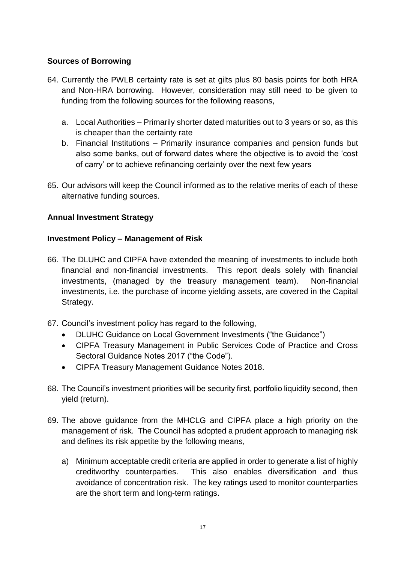# **Sources of Borrowing**

- 64. Currently the PWLB certainty rate is set at gilts plus 80 basis points for both HRA and Non-HRA borrowing. However, consideration may still need to be given to funding from the following sources for the following reasons,
	- a. Local Authorities Primarily shorter dated maturities out to 3 years or so, as this is cheaper than the certainty rate
	- b. Financial Institutions Primarily insurance companies and pension funds but also some banks, out of forward dates where the objective is to avoid the 'cost of carry' or to achieve refinancing certainty over the next few years
- 65. Our advisors will keep the Council informed as to the relative merits of each of these alternative funding sources.

# **Annual Investment Strategy**

# **Investment Policy – Management of Risk**

- 66. The DLUHC and CIPFA have extended the meaning of investments to include both financial and non-financial investments. This report deals solely with financial investments, (managed by the treasury management team). Non-financial investments, i.e. the purchase of income yielding assets, are covered in the Capital Strategy.
- 67. Council's investment policy has regard to the following,
	- DLUHC Guidance on Local Government Investments ("the Guidance")
	- CIPFA Treasury Management in Public Services Code of Practice and Cross Sectoral Guidance Notes 2017 ("the Code").
	- CIPFA Treasury Management Guidance Notes 2018.
- 68. The Council's investment priorities will be security first, portfolio liquidity second, then yield (return).
- 69. The above guidance from the MHCLG and CIPFA place a high priority on the management of risk. The Council has adopted a prudent approach to managing risk and defines its risk appetite by the following means,
	- a) Minimum acceptable credit criteria are applied in order to generate a list of highly creditworthy counterparties. This also enables diversification and thus avoidance of concentration risk. The key ratings used to monitor counterparties are the short term and long-term ratings.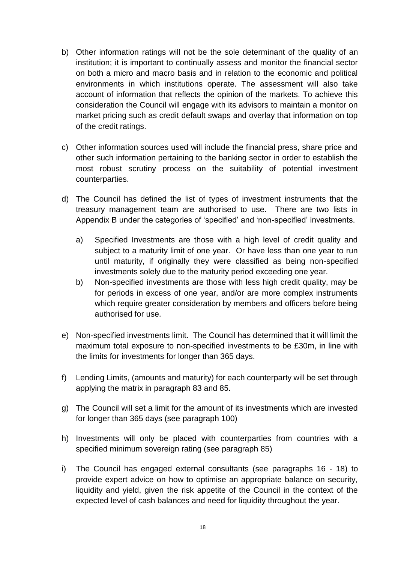- b) Other information ratings will not be the sole determinant of the quality of an institution; it is important to continually assess and monitor the financial sector on both a micro and macro basis and in relation to the economic and political environments in which institutions operate. The assessment will also take account of information that reflects the opinion of the markets. To achieve this consideration the Council will engage with its advisors to maintain a monitor on market pricing such as credit default swaps and overlay that information on top of the credit ratings.
- c) Other information sources used will include the financial press, share price and other such information pertaining to the banking sector in order to establish the most robust scrutiny process on the suitability of potential investment counterparties.
- d) The Council has defined the list of types of investment instruments that the treasury management team are authorised to use. There are two lists in Appendix B under the categories of 'specified' and 'non-specified' investments.
	- a) Specified Investments are those with a high level of credit quality and subject to a maturity limit of one year. Or have less than one year to run until maturity, if originally they were classified as being non-specified investments solely due to the maturity period exceeding one year.
	- b) Non-specified investments are those with less high credit quality, may be for periods in excess of one year, and/or are more complex instruments which require greater consideration by members and officers before being authorised for use.
- e) Non-specified investments limit. The Council has determined that it will limit the maximum total exposure to non-specified investments to be £30m, in line with the limits for investments for longer than 365 days.
- f) Lending Limits, (amounts and maturity) for each counterparty will be set through applying the matrix in paragraph 83 and 85.
- g) The Council will set a limit for the amount of its investments which are invested for longer than 365 days (see paragraph 100)
- h) Investments will only be placed with counterparties from countries with a specified minimum sovereign rating (see paragraph 85)
- i) The Council has engaged external consultants (see paragraphs 16 18) to provide expert advice on how to optimise an appropriate balance on security, liquidity and yield, given the risk appetite of the Council in the context of the expected level of cash balances and need for liquidity throughout the year.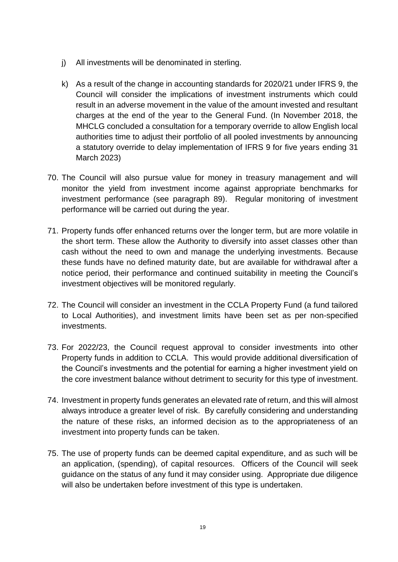- j) All investments will be denominated in sterling.
- k) As a result of the change in accounting standards for 2020/21 under IFRS 9, the Council will consider the implications of investment instruments which could result in an adverse movement in the value of the amount invested and resultant charges at the end of the year to the General Fund. (In November 2018, the MHCLG concluded a consultation for a temporary override to allow English local authorities time to adjust their portfolio of all pooled investments by announcing a statutory override to delay implementation of IFRS 9 for five years ending 31 March 2023)
- 70. The Council will also pursue value for money in treasury management and will monitor the yield from investment income against appropriate benchmarks for investment performance (see paragraph 89). Regular monitoring of investment performance will be carried out during the year.
- 71. Property funds offer enhanced returns over the longer term, but are more volatile in the short term. These allow the Authority to diversify into asset classes other than cash without the need to own and manage the underlying investments. Because these funds have no defined maturity date, but are available for withdrawal after a notice period, their performance and continued suitability in meeting the Council's investment objectives will be monitored regularly.
- 72. The Council will consider an investment in the CCLA Property Fund (a fund tailored to Local Authorities), and investment limits have been set as per non-specified investments.
- 73. For 2022/23, the Council request approval to consider investments into other Property funds in addition to CCLA. This would provide additional diversification of the Council's investments and the potential for earning a higher investment yield on the core investment balance without detriment to security for this type of investment.
- 74. Investment in property funds generates an elevated rate of return, and this will almost always introduce a greater level of risk. By carefully considering and understanding the nature of these risks, an informed decision as to the appropriateness of an investment into property funds can be taken.
- 75. The use of property funds can be deemed capital expenditure, and as such will be an application, (spending), of capital resources. Officers of the Council will seek guidance on the status of any fund it may consider using. Appropriate due diligence will also be undertaken before investment of this type is undertaken.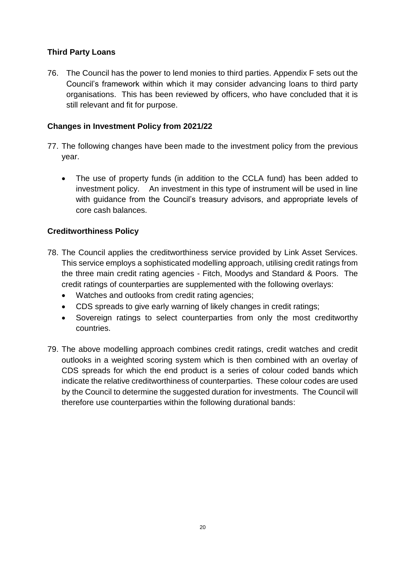# **Third Party Loans**

76. The Council has the power to lend monies to third parties. Appendix F sets out the Council's framework within which it may consider advancing loans to third party organisations. This has been reviewed by officers, who have concluded that it is still relevant and fit for purpose.

# **Changes in Investment Policy from 2021/22**

- 77. The following changes have been made to the investment policy from the previous year.
	- The use of property funds (in addition to the CCLA fund) has been added to investment policy. An investment in this type of instrument will be used in line with guidance from the Council's treasury advisors, and appropriate levels of core cash balances.

# **Creditworthiness Policy**

- 78. The Council applies the creditworthiness service provided by Link Asset Services. This service employs a sophisticated modelling approach, utilising credit ratings from the three main credit rating agencies - Fitch, Moodys and Standard & Poors. The credit ratings of counterparties are supplemented with the following overlays:
	- Watches and outlooks from credit rating agencies;
	- CDS spreads to give early warning of likely changes in credit ratings;
	- Sovereign ratings to select counterparties from only the most creditworthy countries.
- 79. The above modelling approach combines credit ratings, credit watches and credit outlooks in a weighted scoring system which is then combined with an overlay of CDS spreads for which the end product is a series of colour coded bands which indicate the relative creditworthiness of counterparties. These colour codes are used by the Council to determine the suggested duration for investments. The Council will therefore use counterparties within the following durational bands: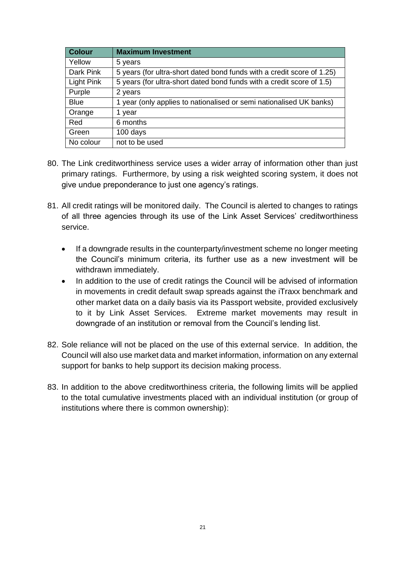| <b>Colour</b> | <b>Maximum Investment</b>                                              |
|---------------|------------------------------------------------------------------------|
| Yellow        | 5 years                                                                |
| Dark Pink     | 5 years (for ultra-short dated bond funds with a credit score of 1.25) |
| Light Pink    | 5 years (for ultra-short dated bond funds with a credit score of 1.5)  |
| Purple        | 2 years                                                                |
| <b>Blue</b>   | 1 year (only applies to nationalised or semi nationalised UK banks)    |
| Orange        | 1 year                                                                 |
| Red           | 6 months                                                               |
| Green         | 100 days                                                               |
| No colour     | not to be used                                                         |

- 80. The Link creditworthiness service uses a wider array of information other than just primary ratings. Furthermore, by using a risk weighted scoring system, it does not give undue preponderance to just one agency's ratings.
- 81. All credit ratings will be monitored daily. The Council is alerted to changes to ratings of all three agencies through its use of the Link Asset Services' creditworthiness service.
	- If a downgrade results in the counterparty/investment scheme no longer meeting the Council's minimum criteria, its further use as a new investment will be withdrawn immediately.
	- In addition to the use of credit ratings the Council will be advised of information in movements in credit default swap spreads against the iTraxx benchmark and other market data on a daily basis via its Passport website, provided exclusively to it by Link Asset Services. Extreme market movements may result in downgrade of an institution or removal from the Council's lending list.
- 82. Sole reliance will not be placed on the use of this external service. In addition, the Council will also use market data and market information, information on any external support for banks to help support its decision making process.
- 83. In addition to the above creditworthiness criteria, the following limits will be applied to the total cumulative investments placed with an individual institution (or group of institutions where there is common ownership):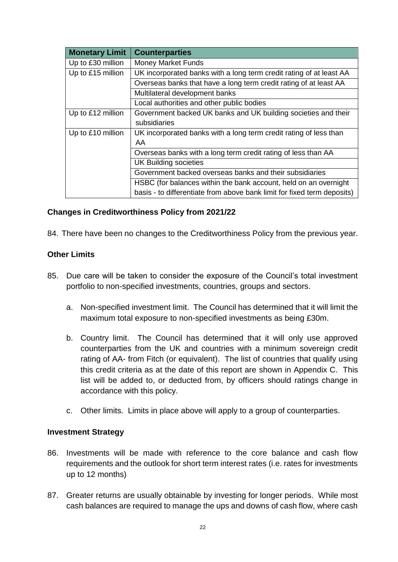| <b>Monetary Limit</b> | <b>Counterparties</b>                                                   |
|-----------------------|-------------------------------------------------------------------------|
| Up to £30 million     | <b>Money Market Funds</b>                                               |
| Up to £15 million     | UK incorporated banks with a long term credit rating of at least AA     |
|                       | Overseas banks that have a long term credit rating of at least AA       |
|                       | Multilateral development banks                                          |
|                       | Local authorities and other public bodies                               |
| Up to £12 million     | Government backed UK banks and UK building societies and their          |
|                       | subsidiaries                                                            |
| Up to £10 million     | UK incorporated banks with a long term credit rating of less than       |
|                       | AA.                                                                     |
|                       | Overseas banks with a long term credit rating of less than AA           |
|                       | <b>UK Building societies</b>                                            |
|                       | Government backed overseas banks and their subsidiaries                 |
|                       | HSBC (for balances within the bank account, held on an overnight        |
|                       | basis - to differentiate from above bank limit for fixed term deposits) |

### **Changes in Creditworthiness Policy from 2021/22**

84. There have been no changes to the Creditworthiness Policy from the previous year.

### **Other Limits**

- 85. Due care will be taken to consider the exposure of the Council's total investment portfolio to non-specified investments, countries, groups and sectors.
	- a. Non-specified investment limit. The Council has determined that it will limit the maximum total exposure to non-specified investments as being £30m.
	- b. Country limit. The Council has determined that it will only use approved counterparties from the UK and countries with a minimum sovereign credit rating of AA- from Fitch (or equivalent). The list of countries that qualify using this credit criteria as at the date of this report are shown in Appendix C. This list will be added to, or deducted from, by officers should ratings change in accordance with this policy.
	- c. Other limits. Limits in place above will apply to a group of counterparties.

#### **Investment Strategy**

- 86. Investments will be made with reference to the core balance and cash flow requirements and the outlook for short term interest rates (i.e. rates for investments up to 12 months)
- 87. Greater returns are usually obtainable by investing for longer periods. While most cash balances are required to manage the ups and downs of cash flow, where cash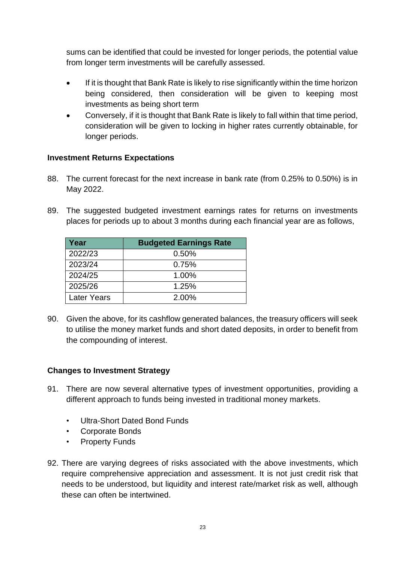sums can be identified that could be invested for longer periods, the potential value from longer term investments will be carefully assessed.

- If it is thought that Bank Rate is likely to rise significantly within the time horizon being considered, then consideration will be given to keeping most investments as being short term
- Conversely, if it is thought that Bank Rate is likely to fall within that time period, consideration will be given to locking in higher rates currently obtainable, for longer periods.

# **Investment Returns Expectations**

- 88. The current forecast for the next increase in bank rate (from 0.25% to 0.50%) is in May 2022.
- 89. The suggested budgeted investment earnings rates for returns on investments places for periods up to about 3 months during each financial year are as follows,

| Year               | <b>Budgeted Earnings Rate</b> |
|--------------------|-------------------------------|
| 2022/23            | 0.50%                         |
| 2023/24            | 0.75%                         |
| 2024/25            | 1.00%                         |
| 2025/26            | 1.25%                         |
| <b>Later Years</b> | 2.00%                         |

90. Given the above, for its cashflow generated balances, the treasury officers will seek to utilise the money market funds and short dated deposits, in order to benefit from the compounding of interest.

# **Changes to Investment Strategy**

- 91. There are now several alternative types of investment opportunities, providing a different approach to funds being invested in traditional money markets.
	- Ultra-Short Dated Bond Funds
	- Corporate Bonds
	- **Property Funds**
- 92. There are varying degrees of risks associated with the above investments, which require comprehensive appreciation and assessment. It is not just credit risk that needs to be understood, but liquidity and interest rate/market risk as well, although these can often be intertwined.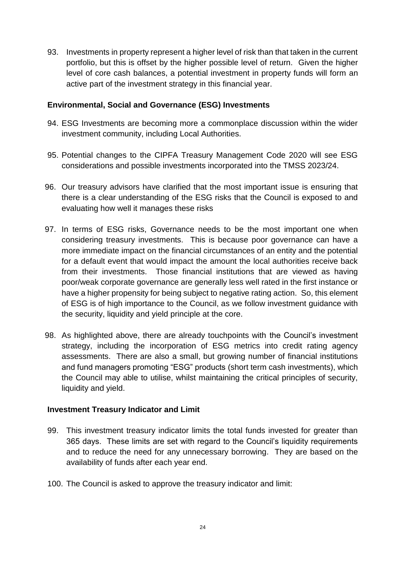93. Investments in property represent a higher level of risk than that taken in the current portfolio, but this is offset by the higher possible level of return. Given the higher level of core cash balances, a potential investment in property funds will form an active part of the investment strategy in this financial year.

### **Environmental, Social and Governance (ESG) Investments**

- 94. ESG Investments are becoming more a commonplace discussion within the wider investment community, including Local Authorities.
- 95. Potential changes to the CIPFA Treasury Management Code 2020 will see ESG considerations and possible investments incorporated into the TMSS 2023/24.
- 96. Our treasury advisors have clarified that the most important issue is ensuring that there is a clear understanding of the ESG risks that the Council is exposed to and evaluating how well it manages these risks
- 97. In terms of ESG risks, Governance needs to be the most important one when considering treasury investments. This is because poor governance can have a more immediate impact on the financial circumstances of an entity and the potential for a default event that would impact the amount the local authorities receive back from their investments. Those financial institutions that are viewed as having poor/weak corporate governance are generally less well rated in the first instance or have a higher propensity for being subject to negative rating action. So, this element of ESG is of high importance to the Council, as we follow investment guidance with the security, liquidity and yield principle at the core.
- 98. As highlighted above, there are already touchpoints with the Council's investment strategy, including the incorporation of ESG metrics into credit rating agency assessments. There are also a small, but growing number of financial institutions and fund managers promoting "ESG" products (short term cash investments), which the Council may able to utilise, whilst maintaining the critical principles of security, liquidity and yield.

# **Investment Treasury Indicator and Limit**

- 99. This investment treasury indicator limits the total funds invested for greater than 365 days. These limits are set with regard to the Council's liquidity requirements and to reduce the need for any unnecessary borrowing. They are based on the availability of funds after each year end.
- 100. The Council is asked to approve the treasury indicator and limit: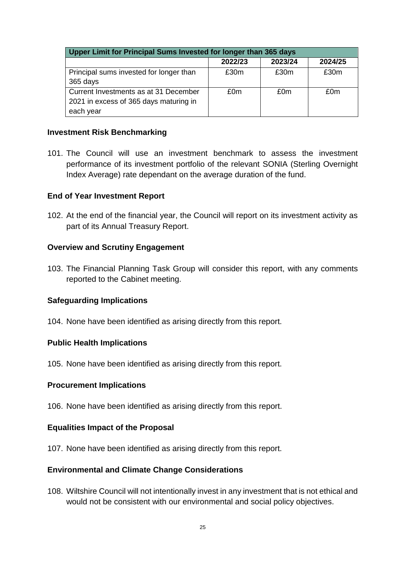| Upper Limit for Principal Sums Invested for longer than 365 days |         |         |         |
|------------------------------------------------------------------|---------|---------|---------|
|                                                                  | 2022/23 | 2023/24 | 2024/25 |
| Principal sums invested for longer than                          | £30m    | £30m    | £30m    |
| 365 days                                                         |         |         |         |
| Current Investments as at 31 December                            | £0m     | £0m     | £0m     |
| 2021 in excess of 365 days maturing in                           |         |         |         |
| each year                                                        |         |         |         |

### **Investment Risk Benchmarking**

101. The Council will use an investment benchmark to assess the investment performance of its investment portfolio of the relevant SONIA (Sterling Overnight Index Average) rate dependant on the average duration of the fund.

### **End of Year Investment Report**

102. At the end of the financial year, the Council will report on its investment activity as part of its Annual Treasury Report.

#### **Overview and Scrutiny Engagement**

103. The Financial Planning Task Group will consider this report, with any comments reported to the Cabinet meeting.

#### **Safeguarding Implications**

104. None have been identified as arising directly from this report.

#### **Public Health Implications**

105. None have been identified as arising directly from this report.

#### **Procurement Implications**

106. None have been identified as arising directly from this report.

#### **Equalities Impact of the Proposal**

107. None have been identified as arising directly from this report.

#### **Environmental and Climate Change Considerations**

108. Wiltshire Council will not intentionally invest in any investment that is not ethical and would not be consistent with our environmental and social policy objectives.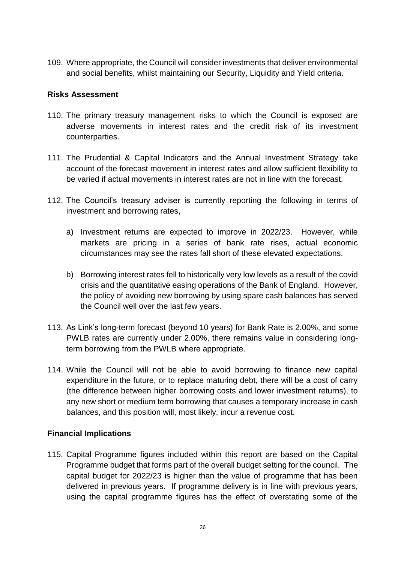109. Where appropriate, the Council will consider investments that deliver environmental and social benefits, whilst maintaining our Security, Liquidity and Yield criteria.

### **Risks Assessment**

- 110. The primary treasury management risks to which the Council is exposed are adverse movements in interest rates and the credit risk of its investment counterparties.
- 111. The Prudential & Capital Indicators and the Annual Investment Strategy take account of the forecast movement in interest rates and allow sufficient flexibility to be varied if actual movements in interest rates are not in line with the forecast.
- 112. The Council's treasury adviser is currently reporting the following in terms of investment and borrowing rates,
	- a) Investment returns are expected to improve in 2022/23. However, while markets are pricing in a series of bank rate rises, actual economic circumstances may see the rates fall short of these elevated expectations.
	- b) Borrowing interest rates fell to historically very low levels as a result of the covid crisis and the quantitative easing operations of the Bank of England. However, the policy of avoiding new borrowing by using spare cash balances has served the Council well over the last few years.
- 113. As Link's long-term forecast (beyond 10 years) for Bank Rate is 2.00%, and some PWLB rates are currently under 2.00%, there remains value in considering longterm borrowing from the PWLB where appropriate.
- 114. While the Council will not be able to avoid borrowing to finance new capital expenditure in the future, or to replace maturing debt, there will be a cost of carry (the difference between higher borrowing costs and lower investment returns), to any new short or medium term borrowing that causes a temporary increase in cash balances, and this position will, most likely, incur a revenue cost.

# **Financial Implications**

115. Capital Programme figures included within this report are based on the Capital Programme budget that forms part of the overall budget setting for the council. The capital budget for 2022/23 is higher than the value of programme that has been delivered in previous years. If programme delivery is in line with previous years, using the capital programme figures has the effect of overstating some of the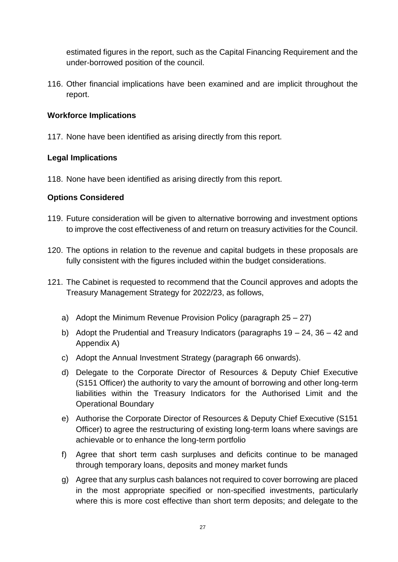estimated figures in the report, such as the Capital Financing Requirement and the under-borrowed position of the council.

116. Other financial implications have been examined and are implicit throughout the report.

# **Workforce Implications**

117. None have been identified as arising directly from this report.

# **Legal Implications**

118. None have been identified as arising directly from this report.

# **Options Considered**

- 119. Future consideration will be given to alternative borrowing and investment options to improve the cost effectiveness of and return on treasury activities for the Council.
- 120. The options in relation to the revenue and capital budgets in these proposals are fully consistent with the figures included within the budget considerations.
- 121. The Cabinet is requested to recommend that the Council approves and adopts the Treasury Management Strategy for 2022/23, as follows,
	- a) Adopt the Minimum Revenue Provision Policy (paragraph 25 27)
	- b) Adopt the Prudential and Treasury Indicators (paragraphs 19 24, 36 42 and Appendix A)
	- c) Adopt the Annual Investment Strategy (paragraph 66 onwards).
	- d) Delegate to the Corporate Director of Resources & Deputy Chief Executive (S151 Officer) the authority to vary the amount of borrowing and other long-term liabilities within the Treasury Indicators for the Authorised Limit and the Operational Boundary
	- e) Authorise the Corporate Director of Resources & Deputy Chief Executive (S151 Officer) to agree the restructuring of existing long-term loans where savings are achievable or to enhance the long-term portfolio
	- f) Agree that short term cash surpluses and deficits continue to be managed through temporary loans, deposits and money market funds
	- g) Agree that any surplus cash balances not required to cover borrowing are placed in the most appropriate specified or non-specified investments, particularly where this is more cost effective than short term deposits; and delegate to the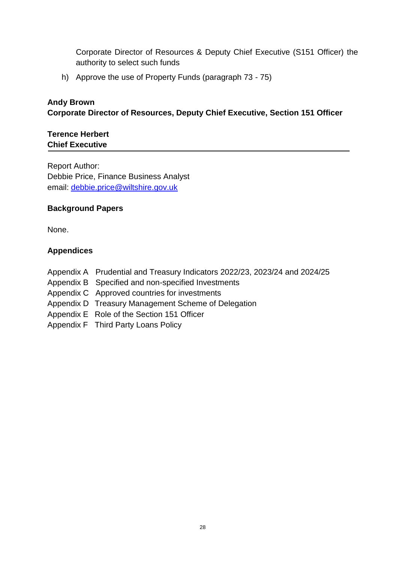Corporate Director of Resources & Deputy Chief Executive (S151 Officer) the authority to select such funds

h) Approve the use of Property Funds (paragraph 73 - 75)

# **Andy Brown Corporate Director of Resources, Deputy Chief Executive, Section 151 Officer**

### **Terence Herbert Chief Executive**

Report Author: Debbie Price, Finance Business Analyst email: [debbie.price@wiltshire.gov.uk](mailto:stuart.donnelly@wiltshire.gov.uk)

### **Background Papers**

None.

# **Appendices**

- Appendix A Prudential and Treasury Indicators 2022/23, 2023/24 and 2024/25
- Appendix B Specified and non-specified Investments
- Appendix C Approved countries for investments
- Appendix D Treasury Management Scheme of Delegation
- Appendix E Role of the Section 151 Officer
- Appendix F Third Party Loans Policy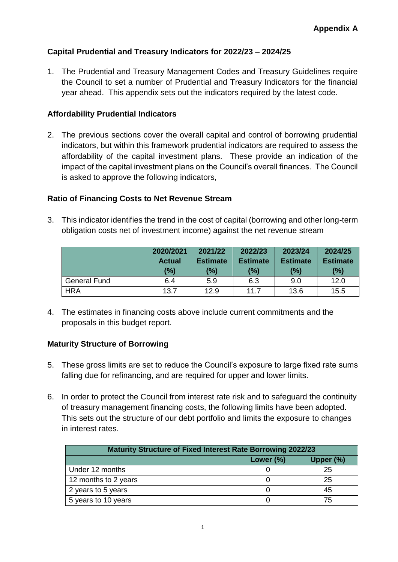# **Capital Prudential and Treasury Indicators for 2022/23 – 2024/25**

1. The Prudential and Treasury Management Codes and Treasury Guidelines require the Council to set a number of Prudential and Treasury Indicators for the financial year ahead. This appendix sets out the indicators required by the latest code.

### **Affordability Prudential Indicators**

2. The previous sections cover the overall capital and control of borrowing prudential indicators, but within this framework prudential indicators are required to assess the affordability of the capital investment plans. These provide an indication of the impact of the capital investment plans on the Council's overall finances. The Council is asked to approve the following indicators,

### **Ratio of Financing Costs to Net Revenue Stream**

3. This indicator identifies the trend in the cost of capital (borrowing and other long-term obligation costs net of investment income) against the net revenue stream

|                     | 2020/2021     | 2021/22         | 2022/23         | 2023/24         | 2024/25         |
|---------------------|---------------|-----------------|-----------------|-----------------|-----------------|
|                     | <b>Actual</b> | <b>Estimate</b> | <b>Estimate</b> | <b>Estimate</b> | <b>Estimate</b> |
|                     | (%)           | (%)             | (%)             | (%)             | $(\%)$          |
| <b>General Fund</b> | 6.4           | 5.9             | 6.3             | 9.0             | 12.0            |
| <b>HRA</b>          | 13.7          | 12.9            | 11.7            | 13.6            | 15.5            |

4. The estimates in financing costs above include current commitments and the proposals in this budget report.

# **Maturity Structure of Borrowing**

- 5. These gross limits are set to reduce the Council's exposure to large fixed rate sums falling due for refinancing, and are required for upper and lower limits.
- 6. In order to protect the Council from interest rate risk and to safeguard the continuity of treasury management financing costs, the following limits have been adopted. This sets out the structure of our debt portfolio and limits the exposure to changes in interest rates.

| <b>Maturity Structure of Fixed Interest Rate Borrowing 2022/23</b> |              |           |
|--------------------------------------------------------------------|--------------|-----------|
|                                                                    | Lower $(\%)$ | Upper (%) |
| Under 12 months                                                    |              | 25        |
| 12 months to 2 years                                               |              | 25        |
| 2 years to 5 years                                                 |              | 45        |
| 5 years to 10 years                                                |              | 75        |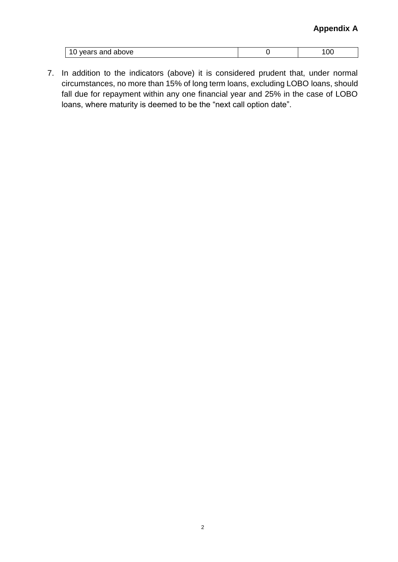| above<br>$ -$<br><b>21110</b><br>. טווט |  |
|-----------------------------------------|--|

7. In addition to the indicators (above) it is considered prudent that, under normal circumstances, no more than 15% of long term loans, excluding LOBO loans, should fall due for repayment within any one financial year and 25% in the case of LOBO loans, where maturity is deemed to be the "next call option date".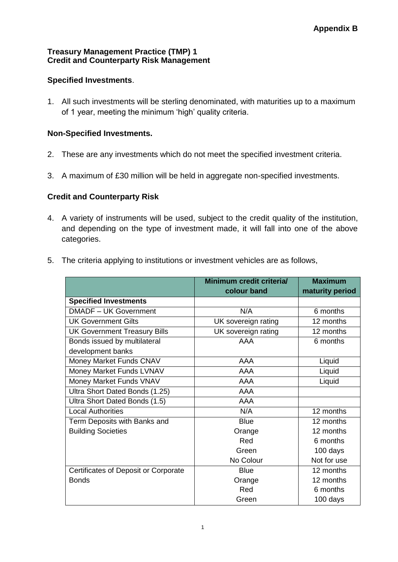### **Treasury Management Practice (TMP) 1 Credit and Counterparty Risk Management**

# **Specified Investments**.

1. All such investments will be sterling denominated, with maturities up to a maximum of 1 year, meeting the minimum 'high' quality criteria.

# **Non-Specified Investments.**

- 2. These are any investments which do not meet the specified investment criteria.
- 3. A maximum of £30 million will be held in aggregate non-specified investments.

# **Credit and Counterparty Risk**

- 4. A variety of instruments will be used, subject to the credit quality of the institution, and depending on the type of investment made, it will fall into one of the above categories.
- 5. The criteria applying to institutions or investment vehicles are as follows,

|                                      | Minimum credit criteria/<br>colour band | <b>Maximum</b><br>maturity period |
|--------------------------------------|-----------------------------------------|-----------------------------------|
| <b>Specified Investments</b>         |                                         |                                   |
| <b>DMADF - UK Government</b>         | N/A                                     | 6 months                          |
| <b>UK Government Gilts</b>           | UK sovereign rating                     | 12 months                         |
| <b>UK Government Treasury Bills</b>  | UK sovereign rating                     | 12 months                         |
| Bonds issued by multilateral         | AAA                                     | 6 months                          |
| development banks                    |                                         |                                   |
| Money Market Funds CNAV              | AAA                                     | Liquid                            |
| Money Market Funds LVNAV             | <b>AAA</b>                              | Liquid                            |
| Money Market Funds VNAV              | <b>AAA</b>                              | Liquid                            |
| Ultra Short Dated Bonds (1.25)       | AAA                                     |                                   |
| Ultra Short Dated Bonds (1.5)        | AAA                                     |                                   |
| <b>Local Authorities</b>             | N/A                                     | 12 months                         |
| Term Deposits with Banks and         | <b>Blue</b>                             | 12 months                         |
| <b>Building Societies</b>            | Orange                                  | 12 months                         |
|                                      | Red                                     | 6 months                          |
|                                      | Green                                   | 100 days                          |
|                                      | No Colour                               | Not for use                       |
| Certificates of Deposit or Corporate | <b>Blue</b>                             | 12 months                         |
| <b>Bonds</b>                         | Orange                                  | 12 months                         |
|                                      | Red                                     | 6 months                          |
|                                      | Green                                   | 100 days                          |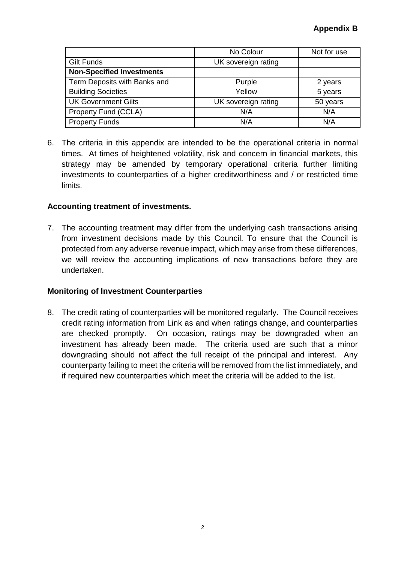|                                  | No Colour           | Not for use |
|----------------------------------|---------------------|-------------|
| <b>Gilt Funds</b>                | UK sovereign rating |             |
| <b>Non-Specified Investments</b> |                     |             |
| Term Deposits with Banks and     | Purple              | 2 years     |
| <b>Building Societies</b>        | Yellow              | 5 years     |
| <b>UK Government Gilts</b>       | UK sovereign rating | 50 years    |
| Property Fund (CCLA)             | N/A                 | N/A         |
| <b>Property Funds</b>            | N/A                 | N/A         |

6. The criteria in this appendix are intended to be the operational criteria in normal times. At times of heightened volatility, risk and concern in financial markets, this strategy may be amended by temporary operational criteria further limiting investments to counterparties of a higher creditworthiness and / or restricted time limits.

# **Accounting treatment of investments.**

7. The accounting treatment may differ from the underlying cash transactions arising from investment decisions made by this Council. To ensure that the Council is protected from any adverse revenue impact, which may arise from these differences, we will review the accounting implications of new transactions before they are undertaken.

# **Monitoring of Investment Counterparties**

8. The credit rating of counterparties will be monitored regularly. The Council receives credit rating information from Link as and when ratings change, and counterparties are checked promptly. On occasion, ratings may be downgraded when an investment has already been made. The criteria used are such that a minor downgrading should not affect the full receipt of the principal and interest. Any counterparty failing to meet the criteria will be removed from the list immediately, and if required new counterparties which meet the criteria will be added to the list.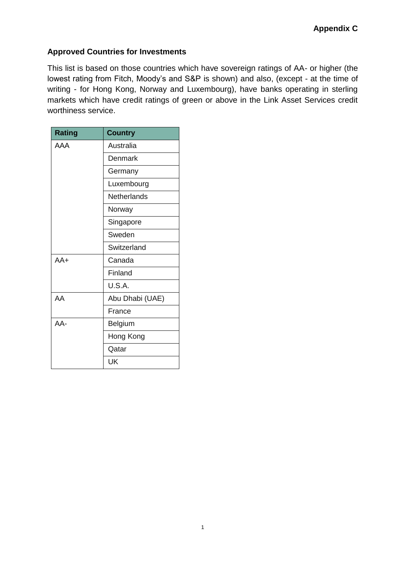# **Approved Countries for Investments**

This list is based on those countries which have sovereign ratings of AA- or higher (the lowest rating from Fitch, Moody's and S&P is shown) and also, (except - at the time of writing - for Hong Kong, Norway and Luxembourg), have banks operating in sterling markets which have credit ratings of green or above in the Link Asset Services credit worthiness service.

| <b>Rating</b> | <b>Country</b>     |
|---------------|--------------------|
| AAA           | Australia          |
|               | Denmark            |
|               | Germany            |
|               | Luxembourg         |
|               | <b>Netherlands</b> |
|               | Norway             |
|               | Singapore          |
|               | Sweden             |
|               | Switzerland        |
| $AA+$         | Canada             |
|               | Finland            |
|               | U.S.A.             |
| AA            | Abu Dhabi (UAE)    |
|               | France             |
| AA-           | <b>Belgium</b>     |
|               | Hong Kong          |
|               | Qatar              |
|               | UK                 |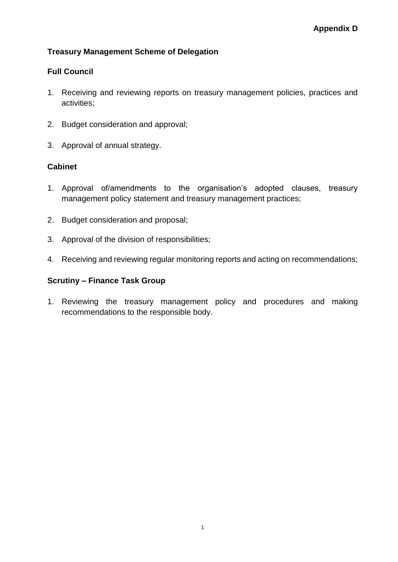# **Treasury Management Scheme of Delegation**

# **Full Council**

- 1. Receiving and reviewing reports on treasury management policies, practices and activities;
- 2. Budget consideration and approval;
- 3. Approval of annual strategy.

# **Cabinet**

- 1. Approval of/amendments to the organisation's adopted clauses, treasury management policy statement and treasury management practices;
- 2. Budget consideration and proposal;
- 3. Approval of the division of responsibilities;
- 4. Receiving and reviewing regular monitoring reports and acting on recommendations;

# **Scrutiny – Finance Task Group**

1. Reviewing the treasury management policy and procedures and making recommendations to the responsible body.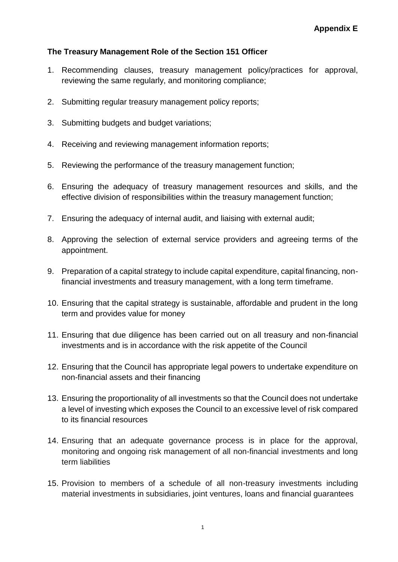### **The Treasury Management Role of the Section 151 Officer**

- 1. Recommending clauses, treasury management policy/practices for approval, reviewing the same regularly, and monitoring compliance;
- 2. Submitting regular treasury management policy reports;
- 3. Submitting budgets and budget variations;
- 4. Receiving and reviewing management information reports;
- 5. Reviewing the performance of the treasury management function;
- 6. Ensuring the adequacy of treasury management resources and skills, and the effective division of responsibilities within the treasury management function;
- 7. Ensuring the adequacy of internal audit, and liaising with external audit;
- 8. Approving the selection of external service providers and agreeing terms of the appointment.
- 9. Preparation of a capital strategy to include capital expenditure, capital financing, nonfinancial investments and treasury management, with a long term timeframe.
- 10. Ensuring that the capital strategy is sustainable, affordable and prudent in the long term and provides value for money
- 11. Ensuring that due diligence has been carried out on all treasury and non-financial investments and is in accordance with the risk appetite of the Council
- 12. Ensuring that the Council has appropriate legal powers to undertake expenditure on non-financial assets and their financing
- 13. Ensuring the proportionality of all investments so that the Council does not undertake a level of investing which exposes the Council to an excessive level of risk compared to its financial resources
- 14. Ensuring that an adequate governance process is in place for the approval, monitoring and ongoing risk management of all non-financial investments and long term liabilities
- 15. Provision to members of a schedule of all non-treasury investments including material investments in subsidiaries, joint ventures, loans and financial guarantees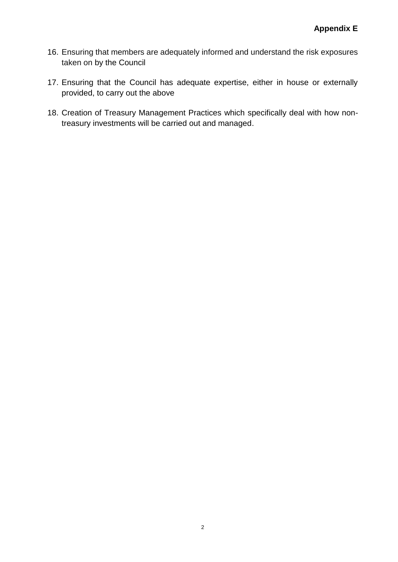- 16. Ensuring that members are adequately informed and understand the risk exposures taken on by the Council
- 17. Ensuring that the Council has adequate expertise, either in house or externally provided, to carry out the above
- 18. Creation of Treasury Management Practices which specifically deal with how nontreasury investments will be carried out and managed.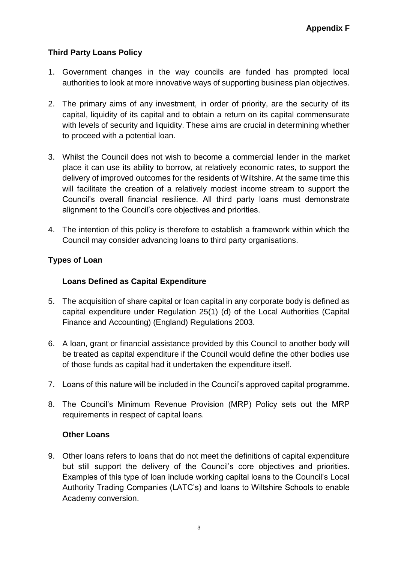# **Third Party Loans Policy**

- 1. Government changes in the way councils are funded has prompted local authorities to look at more innovative ways of supporting business plan objectives.
- 2. The primary aims of any investment, in order of priority, are the security of its capital, liquidity of its capital and to obtain a return on its capital commensurate with levels of security and liquidity. These aims are crucial in determining whether to proceed with a potential loan.
- 3. Whilst the Council does not wish to become a commercial lender in the market place it can use its ability to borrow, at relatively economic rates, to support the delivery of improved outcomes for the residents of Wiltshire. At the same time this will facilitate the creation of a relatively modest income stream to support the Council's overall financial resilience. All third party loans must demonstrate alignment to the Council's core objectives and priorities.
- 4. The intention of this policy is therefore to establish a framework within which the Council may consider advancing loans to third party organisations.

# **Types of Loan**

# **Loans Defined as Capital Expenditure**

- 5. The acquisition of share capital or loan capital in any corporate body is defined as capital expenditure under Regulation 25(1) (d) of the Local Authorities (Capital Finance and Accounting) (England) Regulations 2003.
- 6. A loan, grant or financial assistance provided by this Council to another body will be treated as capital expenditure if the Council would define the other bodies use of those funds as capital had it undertaken the expenditure itself.
- 7. Loans of this nature will be included in the Council's approved capital programme.
- 8. The Council's Minimum Revenue Provision (MRP) Policy sets out the MRP requirements in respect of capital loans.

# **Other Loans**

9. Other loans refers to loans that do not meet the definitions of capital expenditure but still support the delivery of the Council's core objectives and priorities. Examples of this type of loan include working capital loans to the Council's Local Authority Trading Companies (LATC's) and loans to Wiltshire Schools to enable Academy conversion.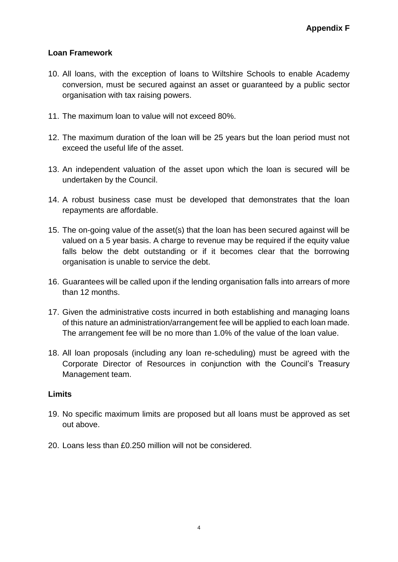# **Loan Framework**

- 10. All loans, with the exception of loans to Wiltshire Schools to enable Academy conversion, must be secured against an asset or guaranteed by a public sector organisation with tax raising powers.
- 11. The maximum loan to value will not exceed 80%.
- 12. The maximum duration of the loan will be 25 years but the loan period must not exceed the useful life of the asset.
- 13. An independent valuation of the asset upon which the loan is secured will be undertaken by the Council.
- 14. A robust business case must be developed that demonstrates that the loan repayments are affordable.
- 15. The on-going value of the asset(s) that the loan has been secured against will be valued on a 5 year basis. A charge to revenue may be required if the equity value falls below the debt outstanding or if it becomes clear that the borrowing organisation is unable to service the debt.
- 16. Guarantees will be called upon if the lending organisation falls into arrears of more than 12 months.
- 17. Given the administrative costs incurred in both establishing and managing loans of this nature an administration/arrangement fee will be applied to each loan made. The arrangement fee will be no more than 1.0% of the value of the loan value.
- 18. All loan proposals (including any loan re-scheduling) must be agreed with the Corporate Director of Resources in conjunction with the Council's Treasury Management team.

# **Limits**

- 19. No specific maximum limits are proposed but all loans must be approved as set out above.
- 20. Loans less than £0.250 million will not be considered.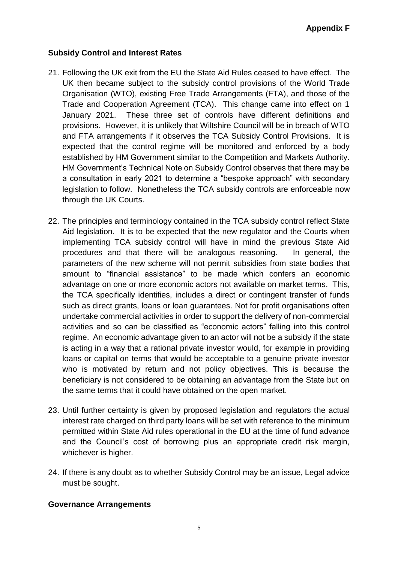# **Subsidy Control and Interest Rates**

- 21. Following the UK exit from the EU the State Aid Rules ceased to have effect. The UK then became subject to the subsidy control provisions of the World Trade Organisation (WTO), existing Free Trade Arrangements (FTA), and those of the Trade and Cooperation Agreement (TCA). This change came into effect on 1 January 2021. These three set of controls have different definitions and provisions. However, it is unlikely that Wiltshire Council will be in breach of WTO and FTA arrangements if it observes the TCA Subsidy Control Provisions. It is expected that the control regime will be monitored and enforced by a body established by HM Government similar to the Competition and Markets Authority. HM Government's Technical Note on Subsidy Control observes that there may be a consultation in early 2021 to determine a "bespoke approach" with secondary legislation to follow. Nonetheless the TCA subsidy controls are enforceable now through the UK Courts.
- 22. The principles and terminology contained in the TCA subsidy control reflect State Aid legislation. It is to be expected that the new regulator and the Courts when implementing TCA subsidy control will have in mind the previous State Aid procedures and that there will be analogous reasoning. In general, the parameters of the new scheme will not permit subsidies from state bodies that amount to "financial assistance" to be made which confers an economic advantage on one or more economic actors not available on market terms. This, the TCA specifically identifies, includes a direct or contingent transfer of funds such as direct grants, loans or loan guarantees. Not for profit organisations often undertake commercial activities in order to support the delivery of non-commercial activities and so can be classified as "economic actors" falling into this control regime. An economic advantage given to an actor will not be a subsidy if the state is acting in a way that a rational private investor would, for example in providing loans or capital on terms that would be acceptable to a genuine private investor who is motivated by return and not policy objectives. This is because the beneficiary is not considered to be obtaining an advantage from the State but on the same terms that it could have obtained on the open market.
- 23. Until further certainty is given by proposed legislation and regulators the actual interest rate charged on third party loans will be set with reference to the minimum permitted within State Aid rules operational in the EU at the time of fund advance and the Council's cost of borrowing plus an appropriate credit risk margin, whichever is higher.
- 24. If there is any doubt as to whether Subsidy Control may be an issue, Legal advice must be sought.

### **Governance Arrangements**